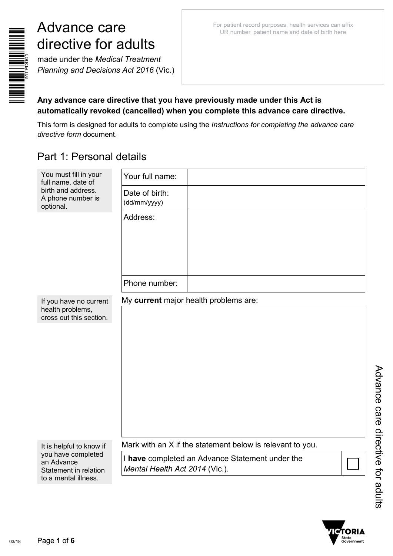

# Advance care directive for adults

made under the *Medical Treatment Planning and Decisions Act 2016* (Vic.)

#### **Any advance care directive that you have previously made under this Act is automatically revoked (cancelled) when you complete this advance care directive.**

This form is designed for adults to complete using the *Instructions for completing the advance care directive form* document.

# Part 1: Personal details

| You must fill in your<br>full name, date of                           | Your full name:                |                                                           |  |
|-----------------------------------------------------------------------|--------------------------------|-----------------------------------------------------------|--|
| birth and address.<br>A phone number is<br>optional.                  | Date of birth:<br>(dd/mm/yyyy) |                                                           |  |
|                                                                       | Address:                       |                                                           |  |
|                                                                       | Phone number:                  |                                                           |  |
| If you have no current<br>health problems,<br>cross out this section. |                                | My current major health problems are:                     |  |
| It is helpful to know if<br>you have completed                        |                                | Mark with an X if the statement below is relevant to you. |  |
| an Advance<br>Statement in relation<br>to a mental illness.           | Mental Health Act 2014 (Vic.). | I have completed an Advance Statement under the           |  |

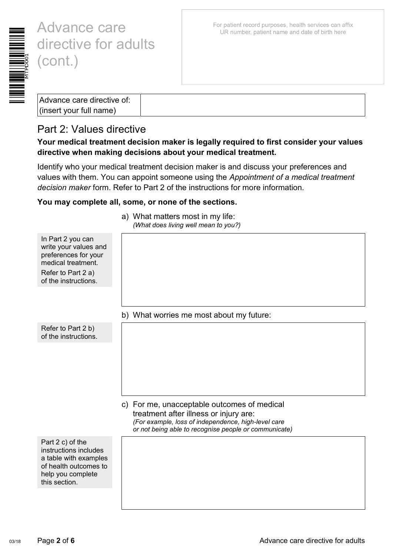

# Advance care directive for adults

| $ $ (insert your full name) |
|-----------------------------|

### Part 2: Values directive

In Part 2 you can write your values and preferences for your medical treatment. Refer to Part 2 a) of the instructions.

Refer to Part 2 b) of the instructions.

#### **Your medical treatment decision maker is legally required to first consider your values directive when making decisions about your medical treatment.**

Identify who your medical treatment decision maker is and discuss your preferences and values with them. You can appoint someone using the *Appointment of a medical treatment decision maker* form. Refer to Part 2 of the instructions for more information.

#### **You may complete all, some, or none of the sections.**

|  | b) What worries me most about my future: |  |  |  |
|--|------------------------------------------|--|--|--|
|  |                                          |  |  |  |

#### c) For me, unacceptable outcomes of medical treatment after illness or injury are: *(For example, loss of independence, high-level care or not being able to recognise people or communicate)*

Part 2 c) of the instructions includes a table with examples of health outcomes to help you complete this section.

a) What matters most in my life: *(What does living well mean to you?)*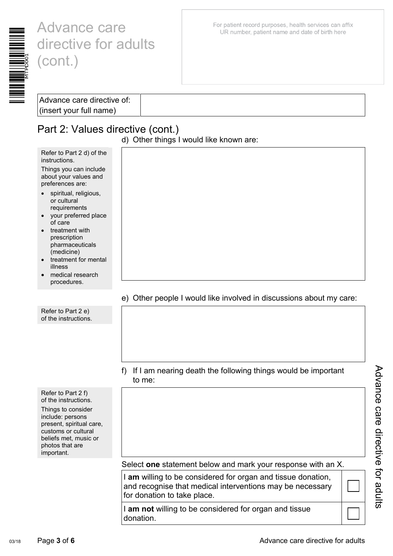

# Advance care directive for adults (cont.)

For patient record purposes, health services can affix UR number, patient name and date of birth here

| Advance care directive of:            |
|---------------------------------------|
|                                       |
|                                       |
| $\frac{1}{2}$ (insert your full name) |

### Part 2: Values directive (cont.)

Refer to Part 2 d) of the

Things you can include about your values and preferences are:

spiritual, religious, or cultural requirements • your preferred place

• treatment for mental

• medical research procedures.

instructions.

of care • treatment with prescription pharmaceuticals (medicine)

illness

Refer to Part 2 e) of the instructions. d) Other things I would like known are:

#### e) Other people I would like involved in discussions about my care:

| f) If I am nearing death the following things would be important |
|------------------------------------------------------------------|
| to me:                                                           |

Refer to Part 2 f) of the instructions. Things to consider include: persons present, spiritual care, customs or cultural beliefs met, music or photos that are important.

Select **one** statement below and mark your response with an X.

I **am** willing to be considered for organ and tissue donation, and recognise that medical interventions may be necessary for donation to take place.

I **am not** willing to be considered for organ and tissue donation.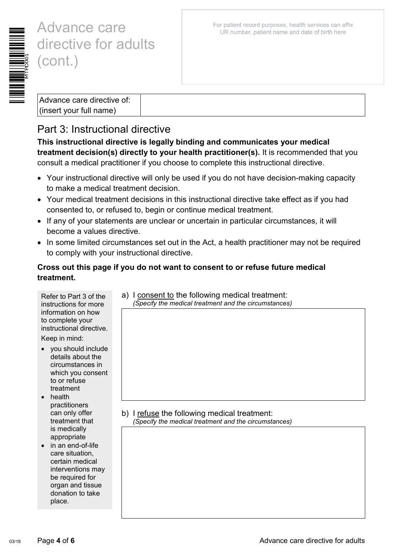

# Advance care directive for adults (cont.)

Advance care directive of: (insert your full name)

## Part 3: Instructional directive

**This instructional directive is legally binding and communicates your medical treatment decision(s) directly to your health practitioner(s).** It is recommended that you consult a medical practitioner if you choose to complete this instructional directive.

- Your instructional directive will only be used if you do not have decision-making capacity to make a medical treatment decision.
- Your medical treatment decisions in this instructional directive take effect as if you had consented to, or refused to, begin or continue medical treatment.
- If any of your statements are unclear or uncertain in particular circumstances, it will become a values directive.
- In some limited circumstances set out in the Act, a health practitioner may not be required to comply with your instructional directive.

#### **Cross out this page if you do not want to consent to or refuse future medical treatment.**

| Refer to Part 3 of the<br>instructions for more<br>information on how<br>to complete your<br>instructional directive.   | a) I consent to the following medical treatment:<br>(Specify the medical treatment and the circumstances) |
|-------------------------------------------------------------------------------------------------------------------------|-----------------------------------------------------------------------------------------------------------|
| Keep in mind:                                                                                                           |                                                                                                           |
| you should include<br>details about the<br>circumstances in<br>which you consent<br>to or refuse<br>treatment<br>health |                                                                                                           |
| practitioners<br>can only offer<br>treatment that                                                                       | b) I refuse the following medical treatment:<br>(Specify the medical treatment and the circumstances)     |
| is medically<br>appropriate<br>in an end-of-life<br>care situation,                                                     |                                                                                                           |
| certain medical<br>interventions may<br>be required for<br>organ and tissue<br>donation to take<br>place.               |                                                                                                           |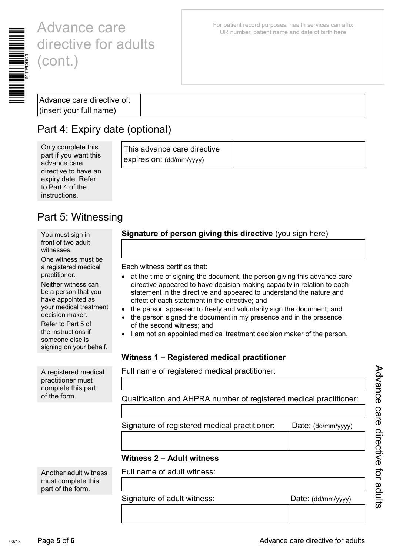

# Advance care directive for adults (cont.)

For patient record purposes, health services can affix UR number, patient name and date of birth here

## Part 4: Expiry date (optional)

| Only complete this<br>part if you want this<br>advance care | This advance care directive<br>expires on: (dd/mm/yyyy) |  |
|-------------------------------------------------------------|---------------------------------------------------------|--|
| directive to have an                                        |                                                         |  |
| expiry date. Refer                                          |                                                         |  |
| to Part 4 of the                                            |                                                         |  |

## Part 5: Witnessing

You must sign in front of two adult witnesses.

instructions.

One witness must be a registered medical practitioner.

Neither witness can be a person that you have appointed as your medical treatment decision maker.

Refer to Part 5 of the instructions if someone else is signing on your behalf.

A registered medical practitioner must complete this part of the form.

Another adult witness must complete this part of the form.

#### **Signature of person giving this directive** (you sign here)

Each witness certifies that:

- at the time of signing the document, the person giving this advance care directive appeared to have decision-making capacity in relation to each statement in the directive and appeared to understand the nature and effect of each statement in the directive; and
- the person appeared to freely and voluntarily sign the document; and
- the person signed the document in my presence and in the presence of the second witness; and
- I am not an appointed medical treatment decision maker of the person.

#### **Witness 1 – Registered medical practitioner**

Full name of registered medical practitioner:

Qualification and AHPRA number of registered medical practitioner:

Signature of registered medical practitioner: Date: (dd/mm/yyyy)

#### **Witness 2 – Adult witness**

Full name of adult witness:

Signature of adult witness: Date: (dd/mm/yyyy)